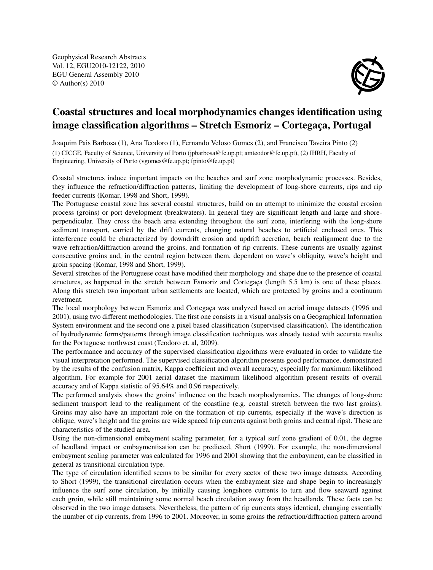Geophysical Research Abstracts Vol. 12, EGU2010-12122, 2010 EGU General Assembly 2010 © Author(s) 2010



## Coastal structures and local morphodynamics changes identification using image classification algorithms – Stretch Esmoriz – Cortegaça, Portugal

Joaquim Pais Barbosa (1), Ana Teodoro (1), Fernando Veloso Gomes (2), and Francisco Taveira Pinto (2) (1) CICGE, Faculty of Science, University of Porto (jpbarbosa@fc.up.pt; amteodor@fc.up.pt), (2) IHRH, Faculty of Engineering, University of Porto (vgomes@fe.up.pt; fpinto@fe.up.pt)

Coastal structures induce important impacts on the beaches and surf zone morphodynamic processes. Besides, they influence the refraction/diffraction patterns, limiting the development of long-shore currents, rips and rip feeder currents (Komar, 1998 and Short, 1999).

The Portuguese coastal zone has several coastal structures, build on an attempt to minimize the coastal erosion process (groins) or port development (breakwaters). In general they are significant length and large and shoreperpendicular. They cross the beach area extending throughout the surf zone, interfering with the long-shore sediment transport, carried by the drift currents, changing natural beaches to artificial enclosed ones. This interference could be characterized by downdrift erosion and updrift accretion, beach realignment due to the wave refraction/diffraction around the groins, and formation of rip currents. These currents are usually against consecutive groins and, in the central region between them, dependent on wave's obliquity, wave's height and groin spacing (Komar, 1998 and Short, 1999).

Several stretches of the Portuguese coast have modified their morphology and shape due to the presence of coastal structures, as happened in the stretch between Esmoriz and Cortegaça (length 5.5 km) is one of these places. Along this stretch two important urban settlements are located, which are protected by groins and a continuum revetment.

The local morphology between Esmoriz and Cortegaça was analyzed based on aerial image datasets (1996 and 2001), using two different methodologies. The first one consists in a visual analysis on a Geographical Information System environment and the second one a pixel based classification (supervised classification). The identification of hydrodynamic forms/patterns through image classification techniques was already tested with accurate results for the Portuguese northwest coast (Teodoro et. al, 2009).

The performance and accuracy of the supervised classification algorithms were evaluated in order to validate the visual interpretation performed. The supervised classification algorithm presents good performance, demonstrated by the results of the confusion matrix, Kappa coefficient and overall accuracy, especially for maximum likelihood algorithm. For example for 2001 aerial dataset the maximum likelihood algorithm present results of overall accuracy and of Kappa statistic of 95.64% and 0.96 respectively.

The performed analysis shows the groins' influence on the beach morphodynamics. The changes of long-shore sediment transport lead to the realignment of the coastline (e.g. coastal stretch between the two last groins). Groins may also have an important role on the formation of rip currents, especially if the wave's direction is oblique, wave's height and the groins are wide spaced (rip currents against both groins and central rips). These are characteristics of the studied area.

Using the non-dimensional embayment scaling parameter, for a typical surf zone gradient of 0.01, the degree of headland impact or embaymentisation can be predicted, Short (1999). For example, the non-dimensional embayment scaling parameter was calculated for 1996 and 2001 showing that the embayment, can be classified in general as transitional circulation type.

The type of circulation identified seems to be similar for every sector of these two image datasets. According to Short (1999), the transitional circulation occurs when the embayment size and shape begin to increasingly influence the surf zone circulation, by initially causing longshore currents to turn and flow seaward against each groin, while still maintaining some normal beach circulation away from the headlands. These facts can be observed in the two image datasets. Nevertheless, the pattern of rip currents stays identical, changing essentially the number of rip currents, from 1996 to 2001. Moreover, in some groins the refraction/diffraction pattern around